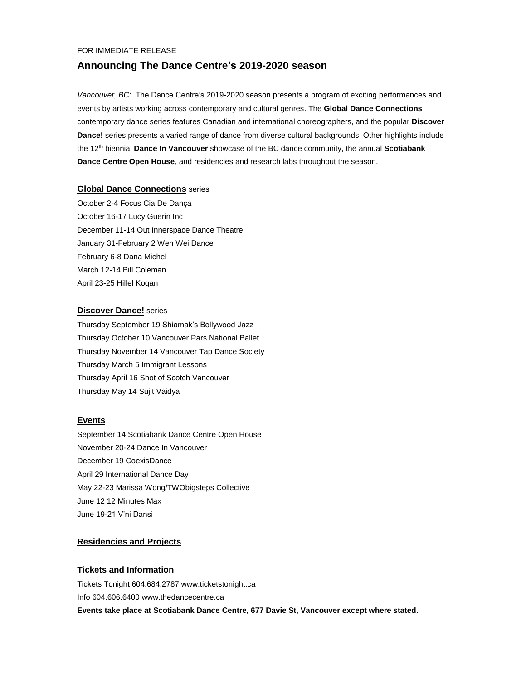#### FOR IMMEDIATE RELEASE

# **Announcing The Dance Centre's 2019-2020 season**

*Vancouver, BC:* The Dance Centre's 2019-2020 season presents a program of exciting performances and events by artists working across contemporary and cultural genres. The **Global Dance Connections** contemporary dance series features Canadian and international choreographers, and the popular **Discover Dance!** series presents a varied range of dance from diverse cultural backgrounds. Other highlights include the 12th biennial **Dance In Vancouver** showcase of the BC dance community, the annual **Scotiabank Dance Centre Open House**, and residencies and research labs throughout the season.

### **Global Dance Connections** series

October 2-4 Focus Cia De Dança October 16-17 Lucy Guerin Inc December 11-14 Out Innerspace Dance Theatre January 31-February 2 Wen Wei Dance February 6-8 Dana Michel March 12-14 Bill Coleman April 23-25 Hillel Kogan

### **Discover Dance!** series

Thursday September 19 Shiamak's Bollywood Jazz Thursday October 10 Vancouver Pars National Ballet Thursday November 14 Vancouver Tap Dance Society Thursday March 5 Immigrant Lessons Thursday April 16 Shot of Scotch Vancouver Thursday May 14 Sujit Vaidya

### **Events**

September 14 Scotiabank Dance Centre Open House November 20-24 Dance In Vancouver December 19 CoexisDance April 29 International Dance Day May 22-23 Marissa Wong/TWObigsteps Collective June 12 12 Minutes Max June 19-21 V'ni Dansi

### **Residencies and Projects**

### **Tickets and Information**

Tickets Tonight 604.684.2787 www.ticketstonight.ca Info 604.606.6400 www.thedancecentre.ca **Events take place at Scotiabank Dance Centre, 677 Davie St, Vancouver except where stated.**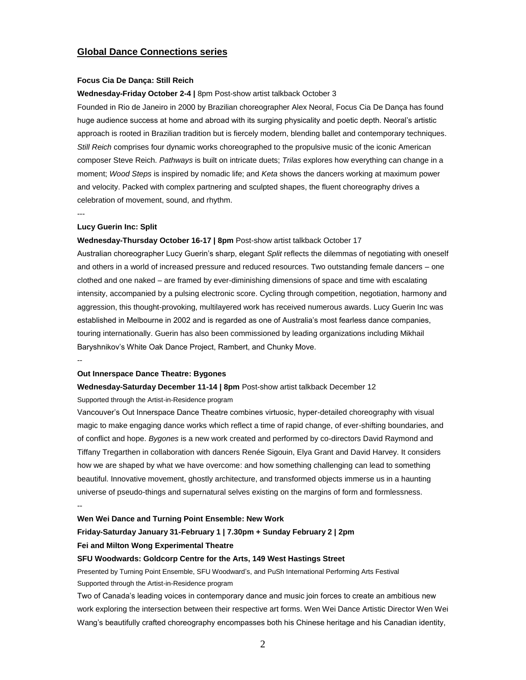### **Global Dance Connections series**

#### **Focus Cia De Dança: Still Reich**

### **Wednesday-Friday October 2-4 |** 8pm Post-show artist talkback October 3

Founded in Rio de Janeiro in 2000 by Brazilian choreographer Alex Neoral, Focus Cia De Dança has found huge audience success at home and abroad with its surging physicality and poetic depth. Neoral's artistic approach is rooted in Brazilian tradition but is fiercely modern, blending ballet and contemporary techniques. *Still Reich* comprises four dynamic works choreographed to the propulsive music of the iconic American composer Steve Reich. *Pathways* is built on intricate duets; *Trilas* explores how everything can change in a moment; *Wood Steps* is inspired by nomadic life; and *Keta* shows the dancers working at maximum power and velocity. Packed with complex partnering and sculpted shapes, the fluent choreography drives a celebration of movement, sound, and rhythm.

---

#### **Lucy Guerin Inc: Split**

#### **Wednesday-Thursday October 16-17 | 8pm** Post-show artist talkback October 17

Australian choreographer Lucy Guerin's sharp, elegant *Split* reflects the dilemmas of negotiating with oneself and others in a world of increased pressure and reduced resources. Two outstanding female dancers – one clothed and one naked – are framed by ever-diminishing dimensions of space and time with escalating intensity, accompanied by a pulsing electronic score. Cycling through competition, negotiation, harmony and aggression, this thought-provoking, multilayered work has received numerous awards. Lucy Guerin Inc was established in Melbourne in 2002 and is regarded as one of Australia's most fearless dance companies, touring internationally. Guerin has also been commissioned by leading organizations including Mikhail Baryshnikov's White Oak Dance Project, Rambert, and Chunky Move.

--

### **Out Innerspace Dance Theatre: Bygones**

#### **Wednesday-Saturday December 11-14 | 8pm** Post-show artist talkback December 12

#### Supported through the Artist-in-Residence program

Vancouver's Out Innerspace Dance Theatre combines virtuosic, hyper-detailed choreography with visual magic to make engaging dance works which reflect a time of rapid change, of ever-shifting boundaries, and of conflict and hope. *Bygones* is a new work created and performed by co-directors David Raymond and Tiffany Tregarthen in collaboration with dancers Renée Sigouin, Elya Grant and David Harvey. It considers how we are shaped by what we have overcome: and how something challenging can lead to something beautiful. Innovative movement, ghostly architecture, and transformed objects immerse us in a haunting universe of pseudo-things and supernatural selves existing on the margins of form and formlessness.

#### --

#### **Wen Wei Dance and Turning Point Ensemble: New Work**

## **Friday-Saturday January 31-February 1 | 7.30pm + Sunday February 2 | 2pm Fei and Milton Wong Experimental Theatre**

#### **SFU Woodwards: Goldcorp Centre for the Arts, 149 West Hastings Street**

Presented by Turning Point Ensemble, SFU Woodward's, and PuSh International Performing Arts Festival Supported through the Artist-in-Residence program

Two of Canada's leading voices in contemporary dance and music join forces to create an ambitious new work exploring the intersection between their respective art forms. Wen Wei Dance Artistic Director Wen Wei Wang's beautifully crafted choreography encompasses both his Chinese heritage and his Canadian identity,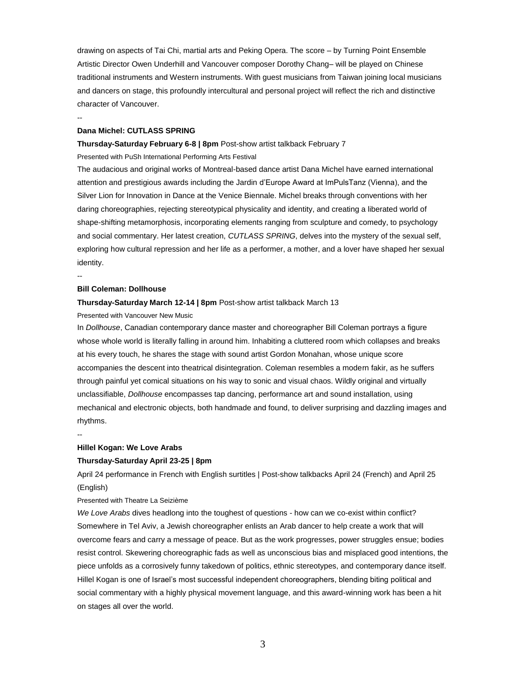drawing on aspects of Tai Chi, martial arts and Peking Opera. The score – by Turning Point Ensemble Artistic Director Owen Underhill and Vancouver composer Dorothy Chang– will be played on Chinese traditional instruments and Western instruments. With guest musicians from Taiwan joining local musicians and dancers on stage, this profoundly intercultural and personal project will reflect the rich and distinctive character of Vancouver.

--

#### **Dana Michel: CUTLASS SPRING**

#### **Thursday-Saturday February 6-8 | 8pm** Post-show artist talkback February 7

Presented with PuSh International Performing Arts Festival

The audacious and original works of Montreal-based dance artist Dana Michel have earned international attention and prestigious awards including the Jardin d'Europe Award at ImPulsTanz (Vienna), and the Silver Lion for Innovation in Dance at the Venice Biennale. Michel breaks through conventions with her daring choreographies, rejecting stereotypical physicality and identity, and creating a liberated world of shape-shifting metamorphosis, incorporating elements ranging from sculpture and comedy, to psychology and social commentary. Her latest creation, *CUTLASS SPRING*, delves into the mystery of the sexual self, exploring how cultural repression and her life as a performer, a mother, and a lover have shaped her sexual identity.

--

#### **Bill Coleman: Dollhouse**

### **Thursday-Saturday March 12-14 | 8pm** Post-show artist talkback March 13

Presented with Vancouver New Music

In *Dollhouse*, Canadian contemporary dance master and choreographer Bill Coleman portrays a figure whose whole world is literally falling in around him. Inhabiting a cluttered room which collapses and breaks at his every touch, he shares the stage with sound artist Gordon Monahan, whose unique score accompanies the descent into theatrical disintegration. Coleman resembles a modern fakir, as he suffers through painful yet comical situations on his way to sonic and visual chaos. Wildly original and virtually unclassifiable, *Dollhouse* encompasses tap dancing, performance art and sound installation, using mechanical and electronic objects, both handmade and found, to deliver surprising and dazzling images and rhythms.

--

#### **Hillel Kogan: We Love Arabs**

#### **Thursday-Saturday April 23-25 | 8pm**

April 24 performance in French with English surtitles | Post-show talkbacks April 24 (French) and April 25 (English)

#### Presented with Theatre La Seizième

*We Love Arabs* dives headlong into the toughest of questions - how can we co-exist within conflict? Somewhere in Tel Aviv, a Jewish choreographer enlists an Arab dancer to help create a work that will overcome fears and carry a message of peace. But as the work progresses, power struggles ensue; bodies resist control. Skewering choreographic fads as well as unconscious bias and misplaced good intentions, the piece unfolds as a corrosively funny takedown of politics, ethnic stereotypes, and contemporary dance itself. Hillel Kogan is one of Israel's most successful independent choreographers, blending biting political and social commentary with a highly physical movement language, and this award-winning work has been a hit on stages all over the world.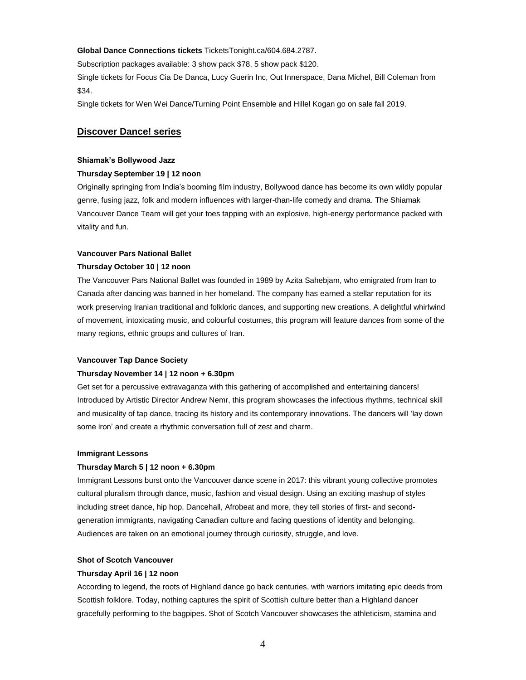#### **Global Dance Connections tickets** TicketsTonight.ca/604.684.2787.

Subscription packages available: 3 show pack \$78, 5 show pack \$120.

Single tickets for Focus Cia De Danca, Lucy Guerin Inc, Out Innerspace, Dana Michel, Bill Coleman from \$34.

Single tickets for Wen Wei Dance/Turning Point Ensemble and Hillel Kogan go on sale fall 2019.

### **Discover Dance! series**

#### **Shiamak's Bollywood Jazz**

#### **Thursday September 19 | 12 noon**

Originally springing from India's booming film industry, Bollywood dance has become its own wildly popular genre, fusing jazz, folk and modern influences with larger-than-life comedy and drama. The Shiamak Vancouver Dance Team will get your toes tapping with an explosive, high-energy performance packed with vitality and fun.

#### **Vancouver Pars National Ballet**

#### **Thursday October 10 | 12 noon**

The Vancouver Pars National Ballet was founded in 1989 by Azita Sahebjam, who emigrated from Iran to Canada after dancing was banned in her homeland. The company has earned a stellar reputation for its work preserving Iranian traditional and folkloric dances, and supporting new creations. A delightful whirlwind of movement, intoxicating music, and colourful costumes, this program will feature dances from some of the many regions, ethnic groups and cultures of Iran.

#### **Vancouver Tap Dance Society**

#### **Thursday November 14 | 12 noon + 6.30pm**

Get set for a percussive extravaganza with this gathering of accomplished and entertaining dancers! Introduced by Artistic Director Andrew Nemr, this program showcases the infectious rhythms, technical skill and musicality of tap dance, tracing its history and its contemporary innovations. The dancers will 'lay down some iron' and create a rhythmic conversation full of zest and charm.

#### **Immigrant Lessons**

#### **Thursday March 5 | 12 noon + 6.30pm**

Immigrant Lessons burst onto the Vancouver dance scene in 2017: this vibrant young collective promotes cultural pluralism through dance, music, fashion and visual design. Using an exciting mashup of styles including street dance, hip hop, Dancehall, Afrobeat and more, they tell stories of first- and secondgeneration immigrants, navigating Canadian culture and facing questions of identity and belonging. Audiences are taken on an emotional journey through curiosity, struggle, and love.

#### **Shot of Scotch Vancouver**

#### **Thursday April 16 | 12 noon**

According to legend, the roots of Highland dance go back centuries, with warriors imitating epic deeds from Scottish folklore. Today, nothing captures the spirit of Scottish culture better than a Highland dancer gracefully performing to the bagpipes. Shot of Scotch Vancouver showcases the athleticism, stamina and

4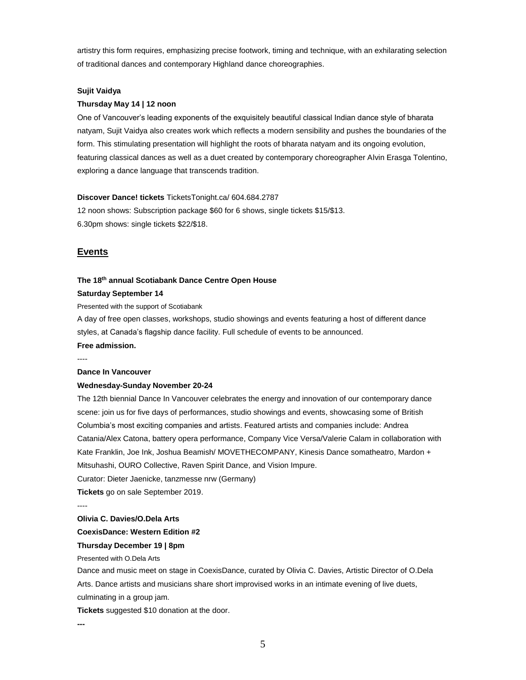artistry this form requires, emphasizing precise footwork, timing and technique, with an exhilarating selection of traditional dances and contemporary Highland dance choreographies.

#### **Sujit Vaidya**

#### **Thursday May 14 | 12 noon**

One of Vancouver's leading exponents of the exquisitely beautiful classical Indian dance style of bharata natyam, Sujit Vaidya also creates work which reflects a modern sensibility and pushes the boundaries of the form. This stimulating presentation will highlight the roots of bharata natyam and its ongoing evolution, featuring classical dances as well as a duet created by contemporary choreographer Alvin Erasga Tolentino, exploring a dance language that transcends tradition.

### **Discover Dance! tickets** TicketsTonight.ca/ 604.684.2787

12 noon shows: Subscription package \$60 for 6 shows, single tickets \$15/\$13. 6.30pm shows: single tickets \$22/\$18.

### **Events**

#### **The 18 th annual Scotiabank Dance Centre Open House**

### **Saturday September 14**

Presented with the support of Scotiabank

A day of free open classes, workshops, studio showings and events featuring a host of different dance styles, at Canada's flagship dance facility. Full schedule of events to be announced.

# **Free admission.**

----

### **Dance In Vancouver**

#### **Wednesday-Sunday November 20-24**

The 12th biennial Dance In Vancouver celebrates the energy and innovation of our contemporary dance scene: join us for five days of performances, studio showings and events, showcasing some of British Columbia's most exciting companies and artists. Featured artists and companies include: Andrea Catania/Alex Catona, battery opera performance, Company Vice Versa/Valerie Calam in collaboration with Kate Franklin, Joe Ink, Joshua Beamish/ MOVETHECOMPANY, Kinesis Dance somatheatro, Mardon + Mitsuhashi, OURO Collective, Raven Spirit Dance, and Vision Impure.

Curator: Dieter Jaenicke, tanzmesse nrw (Germany)

**Tickets** go on sale September 2019.

----

### **Olivia C. Davies/O.Dela Arts**

### **CoexisDance: Western Edition #2**

### **Thursday December 19 | 8pm**

Presented with O.Dela Arts

Dance and music meet on stage in CoexisDance, curated by Olivia C. Davies, Artistic Director of O.Dela Arts. Dance artists and musicians share short improvised works in an intimate evening of live duets, culminating in a group jam.

**Tickets** suggested \$10 donation at the door.

**---**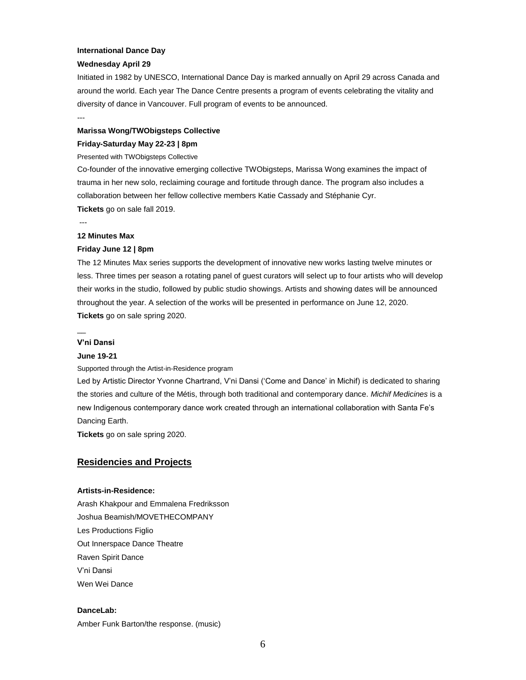#### **International Dance Day**

#### **Wednesday April 29**

Initiated in 1982 by UNESCO, International Dance Day is marked annually on April 29 across Canada and around the world. Each year The Dance Centre presents a program of events celebrating the vitality and diversity of dance in Vancouver. Full program of events to be announced.

#### ---

#### **Marissa Wong/TWObigsteps Collective**

#### **Friday-Saturday May 22-23 | 8pm**

#### Presented with TWObigsteps Collective

Co-founder of the innovative emerging collective TWObigsteps, Marissa Wong examines the impact of trauma in her new solo, reclaiming courage and fortitude through dance. The program also includes a collaboration between her fellow collective members Katie Cassady and Stéphanie Cyr. **Tickets** go on sale fall 2019.

---

#### **12 Minutes Max**

### **Friday June 12 | 8pm**

The 12 Minutes Max series supports the development of innovative new works lasting twelve minutes or less. Three times per season a rotating panel of guest curators will select up to four artists who will develop their works in the studio, followed by public studio showings. Artists and showing dates will be announced throughout the year. A selection of the works will be presented in performance on June 12, 2020. **Tickets** go on sale spring 2020.

#### **V'ni Dansi**

 $\overline{\phantom{a}}$ 

#### **June 19-21**

Supported through the Artist-in-Residence program

Led by Artistic Director Yvonne Chartrand, V'ni Dansi ('Come and Dance' in Michif) is dedicated to sharing the stories and culture of the Métis, through both traditional and contemporary dance. *Michif Medicines* is a new Indigenous contemporary dance work created through an international collaboration with Santa Fe's Dancing Earth.

**Tickets** go on sale spring 2020.

### **Residencies and Projects**

#### **Artists-in-Residence:**

Arash Khakpour and Emmalena Fredriksson Joshua Beamish/MOVETHECOMPANY Les Productions Figlio Out Innerspace Dance Theatre Raven Spirit Dance V'ni Dansi Wen Wei Dance

### **DanceLab:**

Amber Funk Barton/the response. (music)